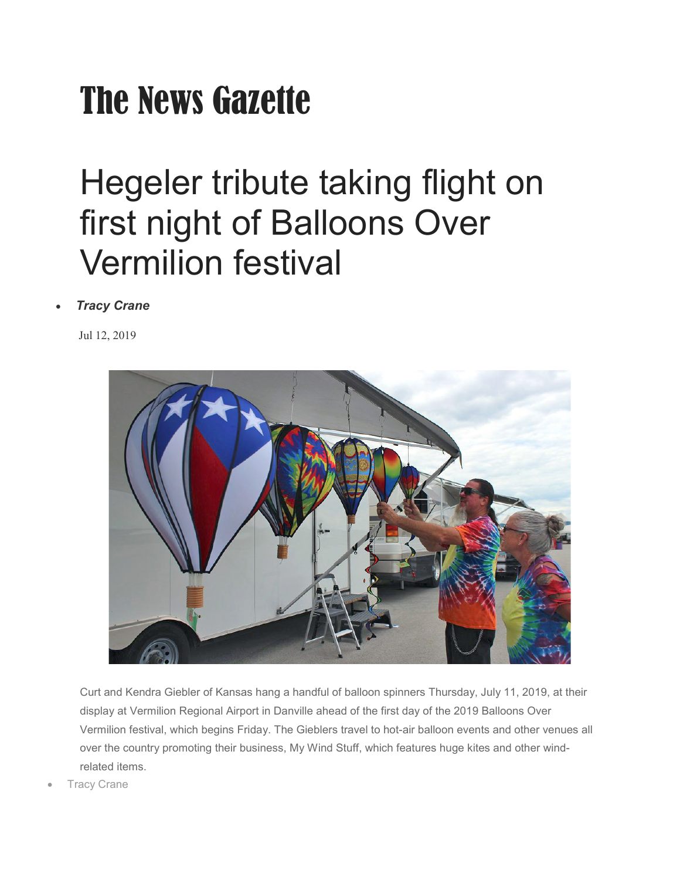## The News Gazette

## Hegeler tribute taking flight on first night of Balloons Over Vermilion festival

## • *[Tracy Crane](https://www.news-gazette.com/users/profile/Tracy%20Crane)*

Jul 12, 2019



Curt and Kendra Giebler of Kansas hang a handful of balloon spinners Thursday, July 11, 2019, at their display at Vermilion Regional Airport in Danville ahead of the first day of the 2019 Balloons Over Vermilion festival, which begins Friday. The Gieblers travel to hot-air balloon events and other venues all over the country promoting their business, My Wind Stuff, which features huge kites and other windrelated items.

**Tracy Crane**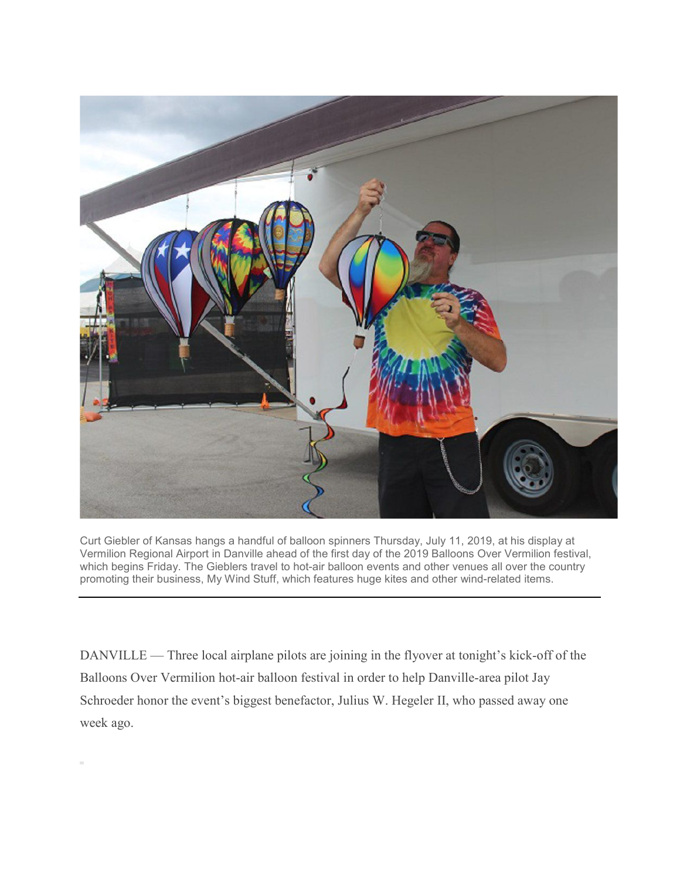

Curt Giebler of Kansas hangs a handful of balloon spinners Thursday, July 11, 2019, at his display at Vermilion Regional Airport in Danville ahead of the first day of the 2019 Balloons Over Vermilion festival, which begins Friday. The Gieblers travel to hot-air balloon events and other venues all over the country promoting their business, My Wind Stuff, which features huge kites and other wind-related items.

DANVILLE — Three local airplane pilots are joining in the flyover at tonight's kick-off of the Balloons Over Vermilion hot-air balloon festival in order to help Danville-area pilot Jay Schroeder honor the event's biggest benefactor, Julius W. Hegeler II, who passed away one week ago.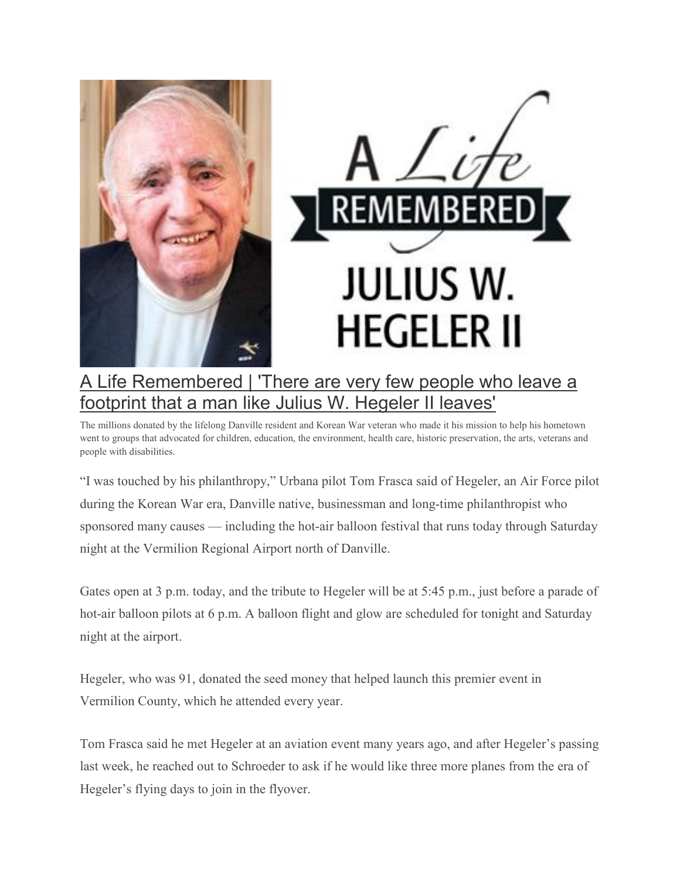

## [A Life Remembered | 'There are very few people who leave a](https://www.news-gazette.com/news/a-life-remembered-there-are-very-few-people-who-leave/article_bad535a5-0626-551b-b9b4-87ebc9c8c35e.html)  [footprint that a man like Julius W. Hegeler](https://www.news-gazette.com/news/a-life-remembered-there-are-very-few-people-who-leave/article_bad535a5-0626-551b-b9b4-87ebc9c8c35e.html) II leaves'

The millions donated by the lifelong Danville resident and Korean War veteran who made it his mission to help his hometown went to groups that advocated for children, education, the environment, health care, historic preservation, the arts, veterans and people with disabilities.

"I was touched by his philanthropy," Urbana pilot Tom Frasca said of Hegeler, an Air Force pilot during the Korean War era, Danville native, businessman and long-time philanthropist who sponsored many causes — including the hot-air balloon festival that runs today through Saturday night at the Vermilion Regional Airport north of Danville.

Gates open at 3 p.m. today, and the tribute to Hegeler will be at 5:45 p.m., just before a parade of hot-air balloon pilots at 6 p.m. A balloon flight and glow are scheduled for tonight and Saturday night at the airport.

Hegeler, who was 91, donated the seed money that helped launch this premier event in Vermilion County, which he attended every year.

Tom Frasca said he met Hegeler at an aviation event many years ago, and after Hegeler's passing last week, he reached out to Schroeder to ask if he would like three more planes from the era of Hegeler's flying days to join in the flyover.